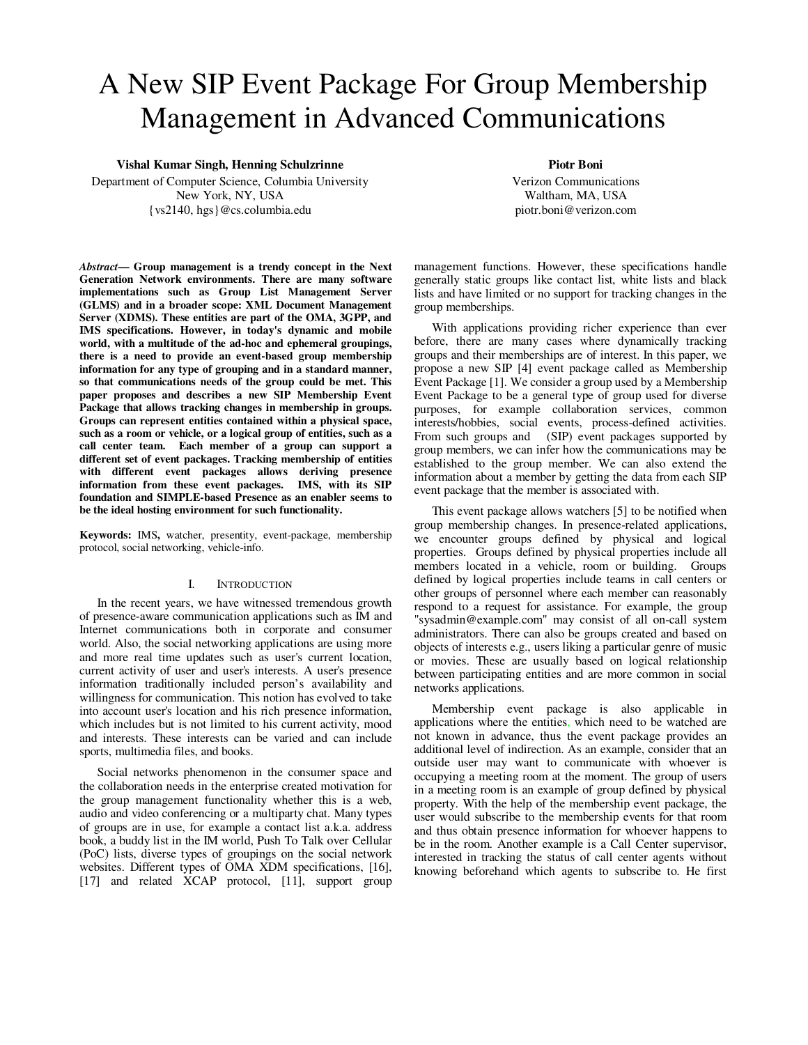# A New SIP Event Package For Group Membership Management in Advanced Communications

# **Vishal Kumar Singh, Henning Schulzrinne**

Department of Computer Science, Columbia University New York, NY, USA {vs2140, hgs}@cs.columbia.edu

*Abstract***— Group management is a trendy concept in the Next Generation Network environments. There are many software implementations such as Group List Management Server (GLMS) and in a broader scope: XML Document Management Server (XDMS). These entities are part of the OMA, 3GPP, and IMS specifications. However, in today's dynamic and mobile world, with a multitude of the ad-hoc and ephemeral groupings, there is a need to provide an event-based group membership information for any type of grouping and in a standard manner, so that communications needs of the group could be met. This paper proposes and describes a new SIP Membership Event Package that allows tracking changes in membership in groups. Groups can represent entities contained within a physical space, such as a room or vehicle, or a logical group of entities, such as a call center team. Each member of a group can support a different set of event packages. Tracking membership of entities with different event packages allows deriving presence information from these event packages. IMS, with its SIP foundation and SIMPLE-based Presence as an enabler seems to be the ideal hosting environment for such functionality.** 

**Keywords:** IMS**,** watcher, presentity, event-package, membership protocol, social networking, vehicle-info.

#### I. INTRODUCTION

In the recent years, we have witnessed tremendous growth of presence-aware communication applications such as IM and Internet communications both in corporate and consumer world. Also, the social networking applications are using more and more real time updates such as user's current location, current activity of user and user's interests. A user's presence information traditionally included person's availability and willingness for communication. This notion has evolved to take into account user's location and his rich presence information, which includes but is not limited to his current activity, mood and interests. These interests can be varied and can include sports, multimedia files, and books.

Social networks phenomenon in the consumer space and the collaboration needs in the enterprise created motivation for the group management functionality whether this is a web, audio and video conferencing or a multiparty chat. Many types of groups are in use, for example a contact list a.k.a. address book, a buddy list in the IM world, Push To Talk over Cellular (PoC) lists, diverse types of groupings on the social network websites. Different types of OMA XDM specifications, [16], [17] and related XCAP protocol, [11], support group **Piotr Boni** 

Verizon Communications Waltham, MA, USA piotr.boni@verizon.com

management functions. However, these specifications handle generally static groups like contact list, white lists and black lists and have limited or no support for tracking changes in the group memberships.

With applications providing richer experience than ever before, there are many cases where dynamically tracking groups and their memberships are of interest. In this paper, we propose a new SIP [4] event package called as Membership Event Package [1]. We consider a group used by a Membership Event Package to be a general type of group used for diverse purposes, for example collaboration services, common interests/hobbies, social events, process-defined activities. From such groups and (SIP) event packages supported by group members, we can infer how the communications may be established to the group member. We can also extend the information about a member by getting the data from each SIP event package that the member is associated with.

This event package allows watchers [5] to be notified when group membership changes. In presence-related applications, we encounter groups defined by physical and logical properties. Groups defined by physical properties include all members located in a vehicle, room or building. Groups defined by logical properties include teams in call centers or other groups of personnel where each member can reasonably respond to a request for assistance. For example, the group "sysadmin@example.com" may consist of all on-call system administrators. There can also be groups created and based on objects of interests e.g., users liking a particular genre of music or movies. These are usually based on logical relationship between participating entities and are more common in social networks applications.

Membership event package is also applicable in applications where the entities, which need to be watched are not known in advance, thus the event package provides an additional level of indirection. As an example, consider that an outside user may want to communicate with whoever is occupying a meeting room at the moment. The group of users in a meeting room is an example of group defined by physical property. With the help of the membership event package, the user would subscribe to the membership events for that room and thus obtain presence information for whoever happens to be in the room. Another example is a Call Center supervisor, interested in tracking the status of call center agents without knowing beforehand which agents to subscribe to. He first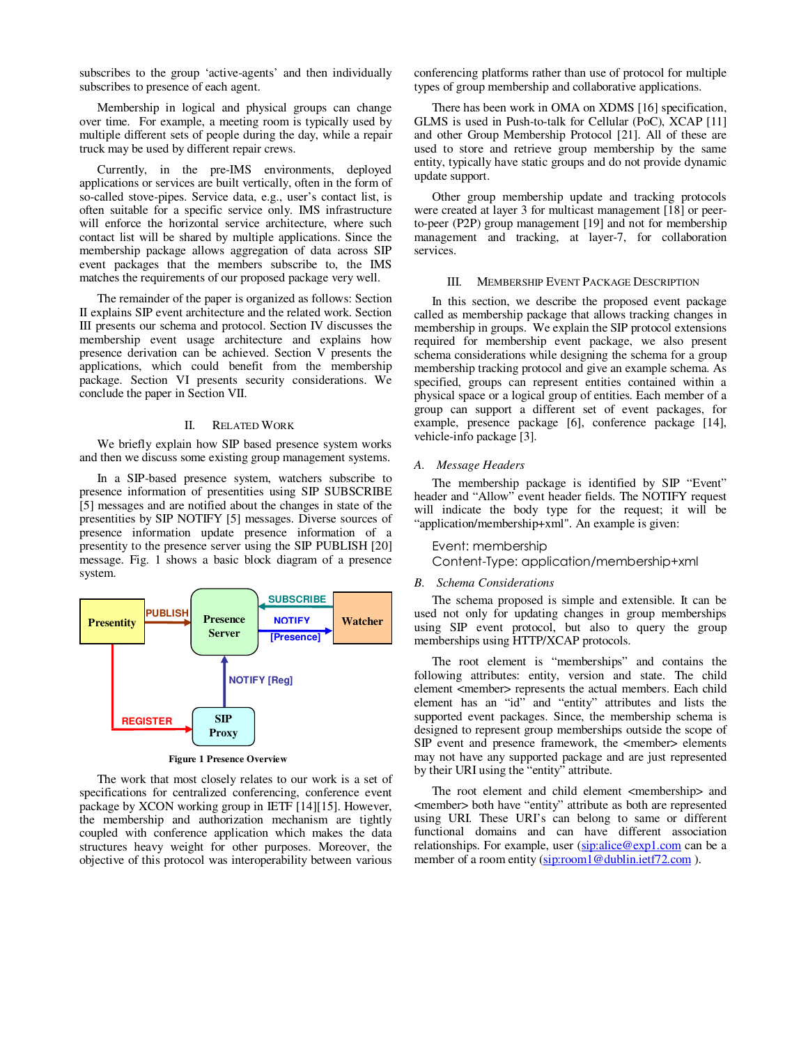subscribes to the group 'active-agents' and then individually subscribes to presence of each agent.

Membership in logical and physical groups can change over time. For example, a meeting room is typically used by multiple different sets of people during the day, while a repair truck may be used by different repair crews.

Currently, in the pre-IMS environments, deployed applications or services are built vertically, often in the form of so-called stove-pipes. Service data, e.g., user's contact list, is often suitable for a specific service only. IMS infrastructure will enforce the horizontal service architecture, where such contact list will be shared by multiple applications. Since the membership package allows aggregation of data across SIP event packages that the members subscribe to, the IMS matches the requirements of our proposed package very well.

The remainder of the paper is organized as follows: Section II explains SIP event architecture and the related work. Section III presents our schema and protocol. Section IV discusses the membership event usage architecture and explains how presence derivation can be achieved. Section V presents the applications, which could benefit from the membership package. Section VI presents security considerations. We conclude the paper in Section VII.

## II. RELATED WORK

We briefly explain how SIP based presence system works and then we discuss some existing group management systems.

In a SIP-based presence system, watchers subscribe to presence information of presentities using SIP SUBSCRIBE [5] messages and are notified about the changes in state of the presentities by SIP NOTIFY [5] messages. Diverse sources of presence information update presence information of a presentity to the presence server using the SIP PUBLISH [20] message. Fig. 1 shows a basic block diagram of a presence system.



**Figure 1 Presence Overview** 

The work that most closely relates to our work is a set of specifications for centralized conferencing, conference event package by XCON working group in IETF [14][15]. However, the membership and authorization mechanism are tightly coupled with conference application which makes the data structures heavy weight for other purposes. Moreover, the objective of this protocol was interoperability between various

conferencing platforms rather than use of protocol for multiple types of group membership and collaborative applications.

There has been work in OMA on XDMS [16] specification, GLMS is used in Push-to-talk for Cellular (PoC), XCAP [11] and other Group Membership Protocol [21]. All of these are used to store and retrieve group membership by the same entity, typically have static groups and do not provide dynamic update support.

Other group membership update and tracking protocols were created at layer 3 for multicast management [18] or peerto-peer (P2P) group management [19] and not for membership management and tracking, at layer-7, for collaboration services.

## III. MEMBERSHIP EVENT PACKAGE DESCRIPTION

In this section, we describe the proposed event package called as membership package that allows tracking changes in membership in groups. We explain the SIP protocol extensions required for membership event package, we also present schema considerations while designing the schema for a group membership tracking protocol and give an example schema. As specified, groups can represent entities contained within a physical space or a logical group of entities. Each member of a group can support a different set of event packages, for example, presence package [6], conference package [14], vehicle-info package [3].

## *A. Message Headers*

The membership package is identified by SIP "Event" header and "Allow" event header fields. The NOTIFY request will indicate the body type for the request; it will be "application/membership+xml". An example is given:

# Event: membership

Content-Type: application/membership+xml

# *B. Schema Considerations*

The schema proposed is simple and extensible. It can be used not only for updating changes in group memberships using SIP event protocol, but also to query the group memberships using HTTP/XCAP protocols.

The root element is "memberships" and contains the following attributes: entity, version and state. The child element <member> represents the actual members. Each child element has an "id" and "entity" attributes and lists the supported event packages. Since, the membership schema is designed to represent group memberships outside the scope of SIP event and presence framework, the <member> elements may not have any supported package and are just represented by their URI using the "entity" attribute.

The root element and child element <membership> and <member> both have "entity" attribute as both are represented using URI. These URI's can belong to same or different functional domains and can have different association relationships. For example, user (sip:alice@exp1.com can be a member of a room entity (sip:room1@dublin.ietf72.com).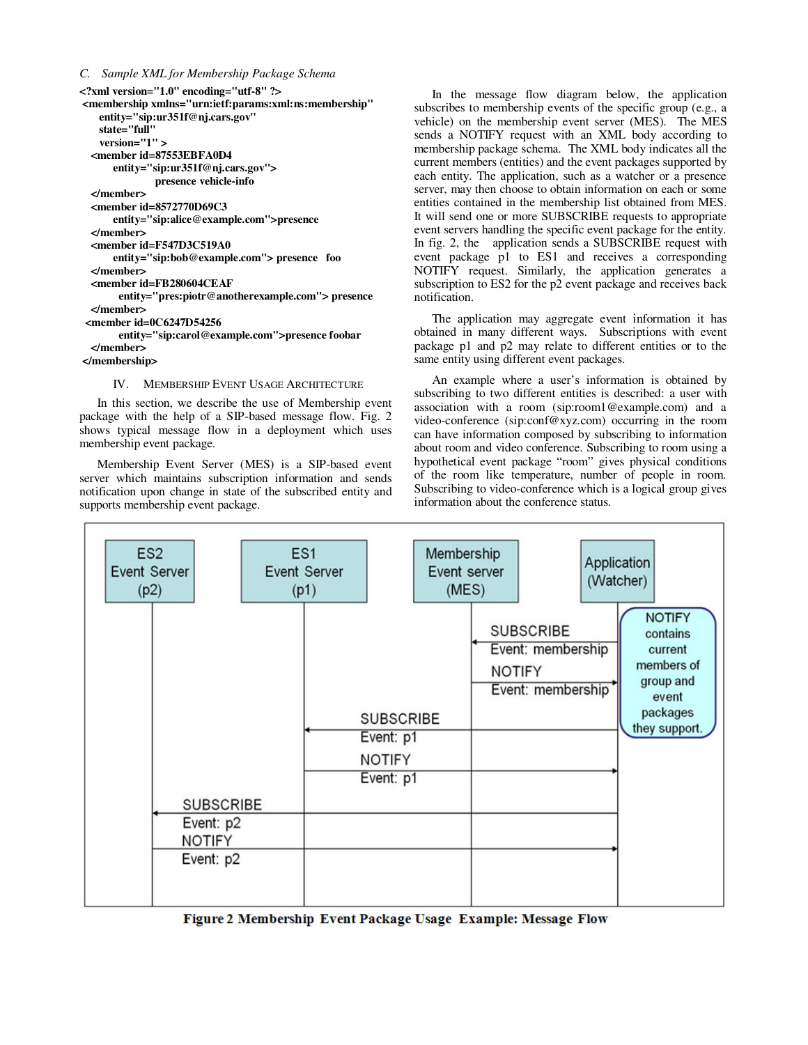# *C. Sample XML for Membership Package Schema*

```
<?xml version="1.0" encoding="utf-8" ?> 
<membership xmlns="urn:ietf:params:xml:ns:membership" 
    entity="sip:ur351f@nj.cars.gov" 
    state="full" 
    version="1" > 
  <member id=87553EBFA0D4 
      entity="sip:ur351f@nj.cars.gov"> 
               presence vehicle-info 
  </member> 
  <member id=8572770D69C3 
      entity="sip:alice@example.com">presence
  </member> 
  <member id=F547D3C519A0 
      entity="sip:bob@example.com"> presence foo 
  </member> 
  <member id=FB280604CEAF 
       entity="pres:piotr@anotherexample.com"> presence 
  </member> 
 <member id=0C6247D54256 
       entity="sip:carol@example.com">presence foobar 
  </member> 
</membership>
```
# IV. MEMBERSHIP EVENT USAGE ARCHITECTURE

In this section, we describe the use of Membership event package with the help of a SIP-based message flow. Fig. 2 shows typical message flow in a deployment which uses membership event package.

Membership Event Server (MES) is a SIP-based event server which maintains subscription information and sends notification upon change in state of the subscribed entity and supports membership event package.

In the message flow diagram below, the application subscribes to membership events of the specific group (e.g., a vehicle) on the membership event server (MES). The MES sends a NOTIFY request with an XML body according to membership package schema. The XML body indicates all the current members (entities) and the event packages supported by each entity. The application, such as a watcher or a presence server, may then choose to obtain information on each or some entities contained in the membership list obtained from MES. It will send one or more SUBSCRIBE requests to appropriate event servers handling the specific event package for the entity. In fig. 2, the application sends a SUBSCRIBE request with event package p1 to ES1 and receives a corresponding NOTIFY request. Similarly, the application generates a subscription to ES2 for the p2 event package and receives back notification.

The application may aggregate event information it has obtained in many different ways. Subscriptions with event package p1 and p2 may relate to different entities or to the same entity using different event packages.

An example where a user's information is obtained by subscribing to two different entities is described: a user with association with a room (sip:room1@example.com) and a video-conference (sip:conf@xyz.com) occurring in the room can have information composed by subscribing to information about room and video conference. Subscribing to room using a hypothetical event package "room" gives physical conditions of the room like temperature, number of people in room. Subscribing to video-conference which is a logical group gives information about the conference status.



Figure 2 Membership Event Package Usage Example: Message Flow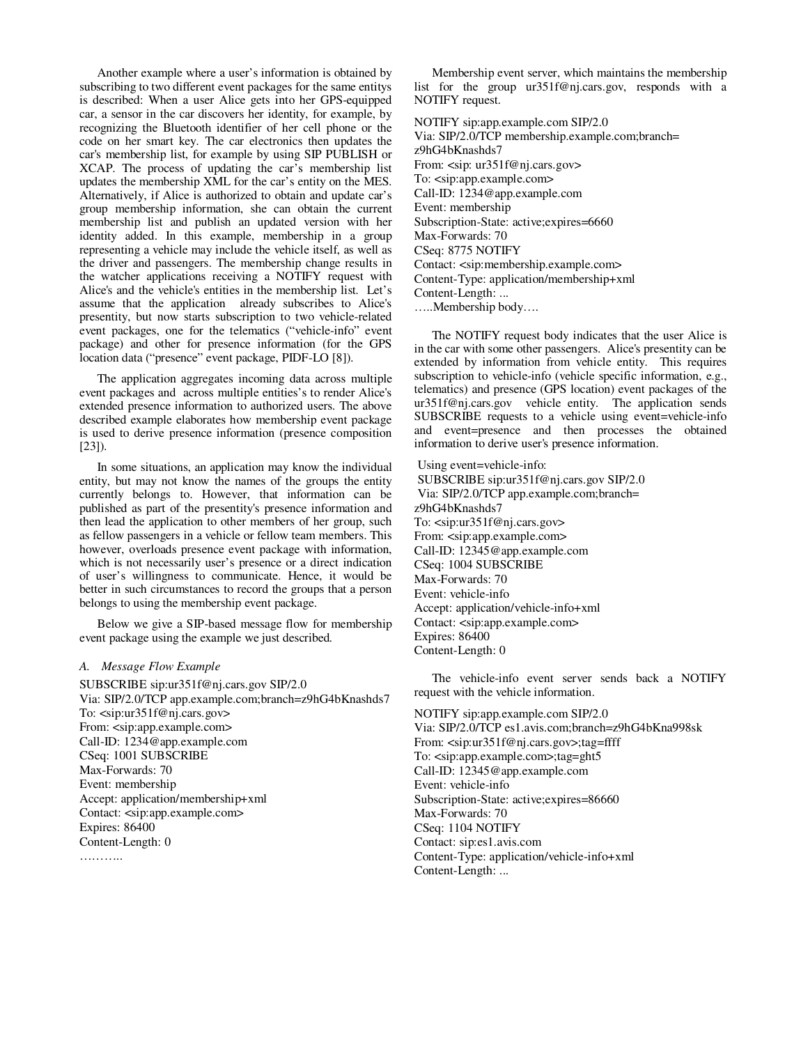Another example where a user's information is obtained by subscribing to two different event packages for the same entitys is described: When a user Alice gets into her GPS-equipped car, a sensor in the car discovers her identity, for example, by recognizing the Bluetooth identifier of her cell phone or the code on her smart key. The car electronics then updates the car's membership list, for example by using SIP PUBLISH or XCAP. The process of updating the car's membership list updates the membership XML for the car's entity on the MES. Alternatively, if Alice is authorized to obtain and update car's group membership information, she can obtain the current membership list and publish an updated version with her identity added. In this example, membership in a group representing a vehicle may include the vehicle itself, as well as the driver and passengers. The membership change results in the watcher applications receiving a NOTIFY request with Alice's and the vehicle's entities in the membership list. Let's assume that the application already subscribes to Alice's presentity, but now starts subscription to two vehicle-related event packages, one for the telematics ("vehicle-info" event package) and other for presence information (for the GPS location data ("presence" event package, PIDF-LO [8]).

The application aggregates incoming data across multiple event packages and across multiple entities's to render Alice's extended presence information to authorized users. The above described example elaborates how membership event package is used to derive presence information (presence composition [23]).

In some situations, an application may know the individual entity, but may not know the names of the groups the entity currently belongs to. However, that information can be published as part of the presentity's presence information and then lead the application to other members of her group, such as fellow passengers in a vehicle or fellow team members. This however, overloads presence event package with information, which is not necessarily user's presence or a direct indication of user's willingness to communicate. Hence, it would be better in such circumstances to record the groups that a person belongs to using the membership event package.

Below we give a SIP-based message flow for membership event package using the example we just described.

#### *A. Message Flow Example*

SUBSCRIBE sip:ur351f@nj.cars.gov SIP/2.0 Via: SIP/2.0/TCP app.example.com;branch=z9hG4bKnashds7 To: <sip:ur351f@nj.cars.gov> From: <sip:app.example.com> Call-ID: 1234@app.example.com CSeq: 1001 SUBSCRIBE Max-Forwards: 70 Event: membership Accept: application/membership+xml Contact: <sip:app.example.com> Expires: 86400 Content-Length: 0 ………

Membership event server, which maintains the membership list for the group ur351f@nj.cars.gov, responds with a NOTIFY request.

NOTIFY sip:app.example.com SIP/2.0 Via: SIP/2.0/TCP membership.example.com;branch= z9hG4bKnashds7 From: <sip: ur351f@nj.cars.gov> To: <sip:app.example.com> Call-ID: 1234@app.example.com Event: membership Subscription-State: active;expires=6660 Max-Forwards: 70 CSeq: 8775 NOTIFY Contact: <sip:membership.example.com> Content-Type: application/membership+xml Content-Length: ... …..Membership body….

The NOTIFY request body indicates that the user Alice is in the car with some other passengers. Alice's presentity can be extended by information from vehicle entity. This requires subscription to vehicle-info (vehicle specific information, e.g., telematics) and presence (GPS location) event packages of the ur351f@nj.cars.gov vehicle entity. The application sends SUBSCRIBE requests to a vehicle using event=vehicle-info and event=presence and then processes the obtained information to derive user's presence information.

 Using event=vehicle-info: SUBSCRIBE sip:ur351f@nj.cars.gov SIP/2.0 Via: SIP/2.0/TCP app.example.com;branch= z9hG4bKnashds7 To: <sip:ur351f@nj.cars.gov> From: <sip:app.example.com> Call-ID: 12345@app.example.com CSeq: 1004 SUBSCRIBE Max-Forwards: 70 Event: vehicle-info Accept: application/vehicle-info+xml Contact: <sip:app.example.com> Expires: 86400 Content-Length: 0

The vehicle-info event server sends back a NOTIFY request with the vehicle information.

NOTIFY sip:app.example.com SIP/2.0 Via: SIP/2.0/TCP es1.avis.com;branch=z9hG4bKna998sk From: <sip:ur351f@nj.cars.gov>;tag=ffff To: <sip:app.example.com>;tag=ght5 Call-ID: 12345@app.example.com Event: vehicle-info Subscription-State: active;expires=86660 Max-Forwards: 70 CSeq: 1104 NOTIFY Contact: sip:es1.avis.com Content-Type: application/vehicle-info+xml Content-Length: ...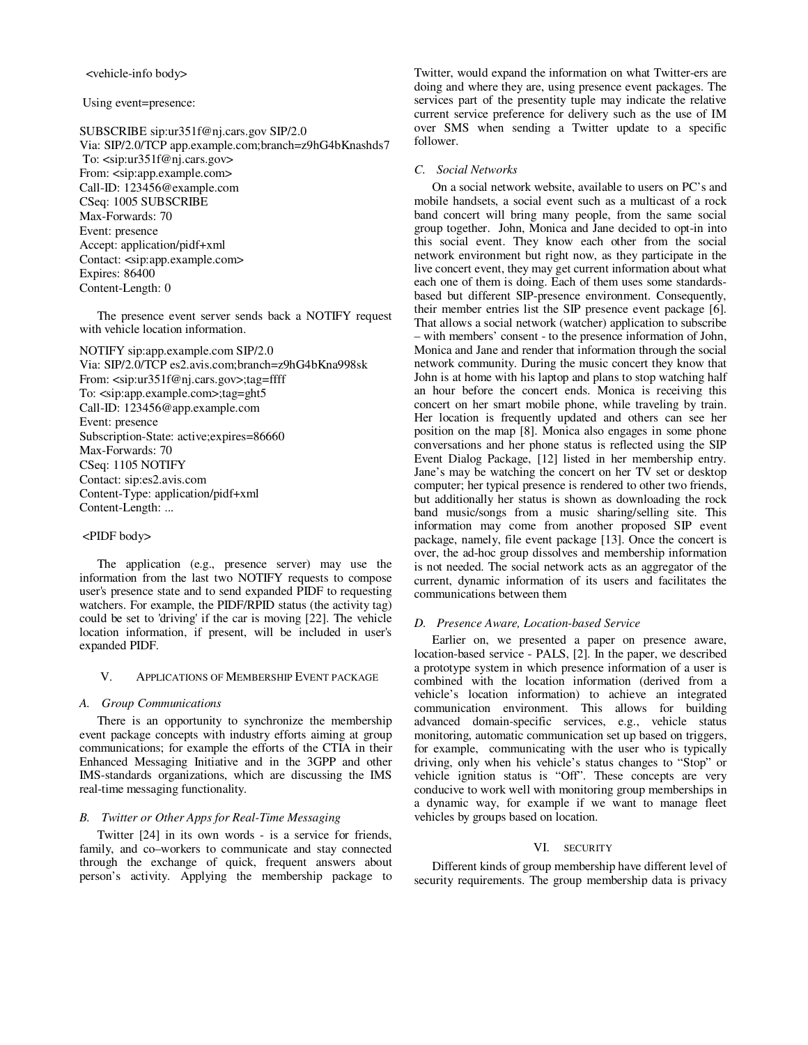<vehicle-info body>

Using event=presence:

SUBSCRIBE sip:ur351f@nj.cars.gov SIP/2.0 Via: SIP/2.0/TCP app.example.com;branch=z9hG4bKnashds7 To: <sip:ur351f@nj.cars.gov> From: <sip:app.example.com> Call-ID: 123456@example.com CSeq: 1005 SUBSCRIBE Max-Forwards: 70 Event: presence Accept: application/pidf+xml Contact: <sip:app.example.com> Expires: 86400 Content-Length: 0

The presence event server sends back a NOTIFY request with vehicle location information.

NOTIFY sip:app.example.com SIP/2.0 Via: SIP/2.0/TCP es2.avis.com;branch=z9hG4bKna998sk From: <sip:ur351f@nj.cars.gov>;tag=ffff To: <sip:app.example.com>;tag=ght5 Call-ID: 123456@app.example.com Event: presence Subscription-State: active;expires=86660 Max-Forwards: 70 CSeq: 1105 NOTIFY Contact: sip:es2.avis.com Content-Type: application/pidf+xml Content-Length: ...

## <PIDF body>

The application (e.g., presence server) may use the information from the last two NOTIFY requests to compose user's presence state and to send expanded PIDF to requesting watchers. For example, the PIDF/RPID status (the activity tag) could be set to 'driving' if the car is moving [22]. The vehicle location information, if present, will be included in user's expanded PIDF.

## V. APPLICATIONS OF MEMBERSHIP EVENT PACKAGE

# *A. Group Communications*

There is an opportunity to synchronize the membership event package concepts with industry efforts aiming at group communications; for example the efforts of the CTIA in their Enhanced Messaging Initiative and in the 3GPP and other IMS-standards organizations, which are discussing the IMS real-time messaging functionality.

# *B. Twitter or Other Apps for Real-Time Messaging*

Twitter [24] in its own words - is a service for friends, family, and co–workers to communicate and stay connected through the exchange of quick, frequent answers about person's activity. Applying the membership package to Twitter, would expand the information on what Twitter-ers are doing and where they are, using presence event packages. The services part of the presentity tuple may indicate the relative current service preference for delivery such as the use of IM over SMS when sending a Twitter update to a specific follower.

### *C. Social Networks*

On a social network website, available to users on PC's and mobile handsets, a social event such as a multicast of a rock band concert will bring many people, from the same social group together. John, Monica and Jane decided to opt-in into this social event. They know each other from the social network environment but right now, as they participate in the live concert event, they may get current information about what each one of them is doing. Each of them uses some standardsbased but different SIP-presence environment. Consequently, their member entries list the SIP presence event package [6]. That allows a social network (watcher) application to subscribe – with members' consent - to the presence information of John, Monica and Jane and render that information through the social network community. During the music concert they know that John is at home with his laptop and plans to stop watching half an hour before the concert ends. Monica is receiving this concert on her smart mobile phone, while traveling by train. Her location is frequently updated and others can see her position on the map [8]. Monica also engages in some phone conversations and her phone status is reflected using the SIP Event Dialog Package, [12] listed in her membership entry. Jane's may be watching the concert on her TV set or desktop computer; her typical presence is rendered to other two friends, but additionally her status is shown as downloading the rock band music/songs from a music sharing/selling site. This information may come from another proposed SIP event package, namely, file event package [13]. Once the concert is over, the ad-hoc group dissolves and membership information is not needed. The social network acts as an aggregator of the current, dynamic information of its users and facilitates the communications between them

# *D. Presence Aware, Location-based Service*

Earlier on, we presented a paper on presence aware, location-based service - PALS, [2]. In the paper, we described a prototype system in which presence information of a user is combined with the location information (derived from a vehicle's location information) to achieve an integrated communication environment. This allows for building advanced domain-specific services, e.g., vehicle status monitoring, automatic communication set up based on triggers, for example, communicating with the user who is typically driving, only when his vehicle's status changes to "Stop" or vehicle ignition status is "Off". These concepts are very conducive to work well with monitoring group memberships in a dynamic way, for example if we want to manage fleet vehicles by groups based on location.

# VI. SECURITY

Different kinds of group membership have different level of security requirements. The group membership data is privacy